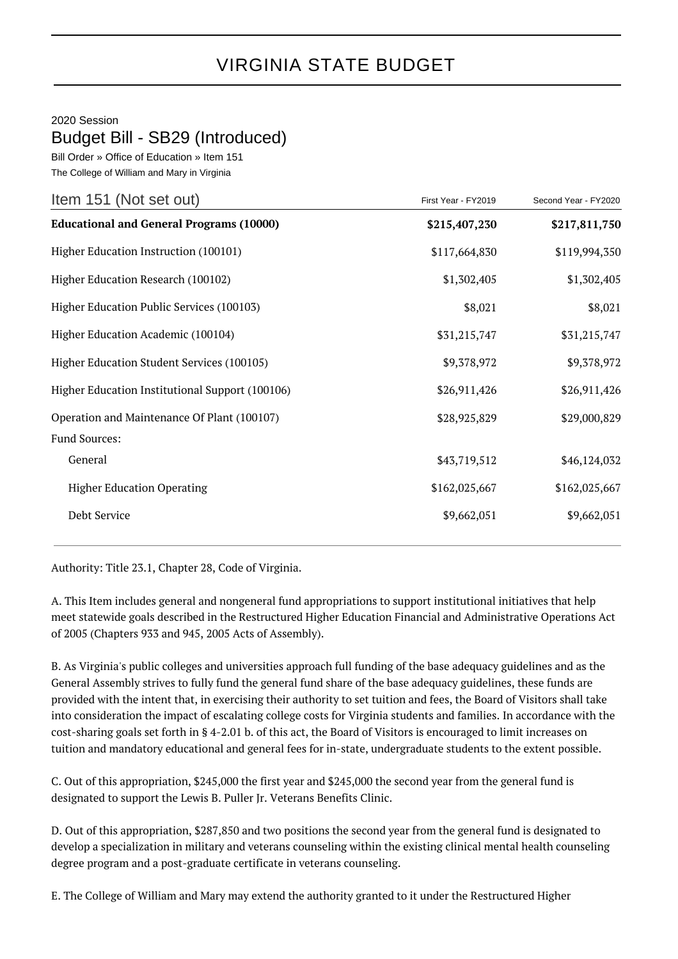## VIRGINIA STATE BUDGET

## 2020 Session

## Budget Bill - SB29 (Introduced)

Bill Order » Office of Education » Item 151 The College of William and Mary in Virginia

| Item 151 (Not set out)                          | First Year - FY2019 | Second Year - FY2020 |
|-------------------------------------------------|---------------------|----------------------|
| <b>Educational and General Programs (10000)</b> | \$215,407,230       | \$217,811,750        |
| Higher Education Instruction (100101)           | \$117,664,830       | \$119,994,350        |
| Higher Education Research (100102)              | \$1,302,405         | \$1,302,405          |
| Higher Education Public Services (100103)       | \$8,021             | \$8,021              |
| Higher Education Academic (100104)              | \$31,215,747        | \$31,215,747         |
| Higher Education Student Services (100105)      | \$9,378,972         | \$9,378,972          |
| Higher Education Institutional Support (100106) | \$26,911,426        | \$26,911,426         |
| Operation and Maintenance Of Plant (100107)     | \$28,925,829        | \$29,000,829         |
| Fund Sources:                                   |                     |                      |
| General                                         | \$43,719,512        | \$46,124,032         |
| <b>Higher Education Operating</b>               | \$162,025,667       | \$162,025,667        |
| Debt Service                                    | \$9,662,051         | \$9,662,051          |
|                                                 |                     |                      |

Authority: Title 23.1, Chapter 28, Code of Virginia.

A. This Item includes general and nongeneral fund appropriations to support institutional initiatives that help meet statewide goals described in the Restructured Higher Education Financial and Administrative Operations Act of 2005 (Chapters 933 and 945, 2005 Acts of Assembly).

B. As Virginia's public colleges and universities approach full funding of the base adequacy guidelines and as the General Assembly strives to fully fund the general fund share of the base adequacy guidelines, these funds are provided with the intent that, in exercising their authority to set tuition and fees, the Board of Visitors shall take into consideration the impact of escalating college costs for Virginia students and families. In accordance with the cost-sharing goals set forth in § 4-2.01 b. of this act, the Board of Visitors is encouraged to limit increases on tuition and mandatory educational and general fees for in-state, undergraduate students to the extent possible.

C. Out of this appropriation, \$245,000 the first year and \$245,000 the second year from the general fund is designated to support the Lewis B. Puller Jr. Veterans Benefits Clinic.

D. Out of this appropriation, \$287,850 and two positions the second year from the general fund is designated to develop a specialization in military and veterans counseling within the existing clinical mental health counseling degree program and a post-graduate certificate in veterans counseling.

E. The College of William and Mary may extend the authority granted to it under the Restructured Higher